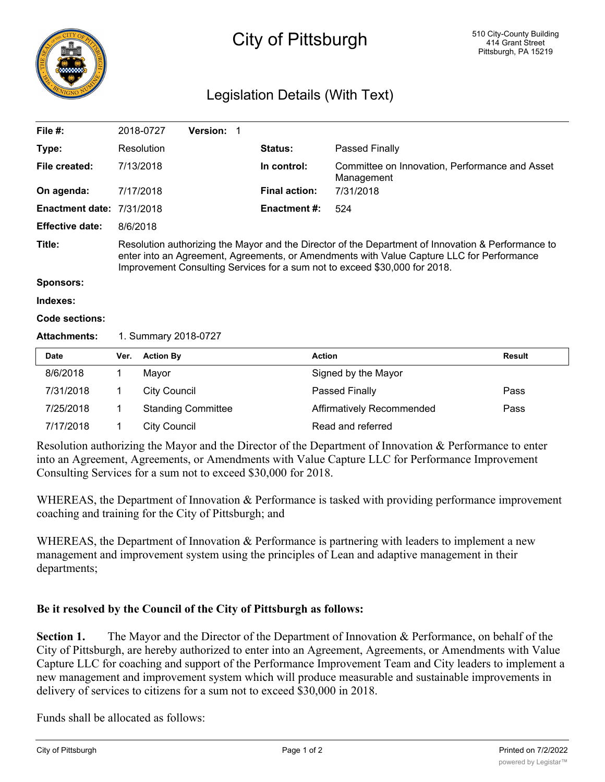

## Legislation Details (With Text)

| File $#$ :                       |                                                                                                                                                                                                                                                                               | 2018-0727           | Version: 1 |  |                      |                                                              |               |
|----------------------------------|-------------------------------------------------------------------------------------------------------------------------------------------------------------------------------------------------------------------------------------------------------------------------------|---------------------|------------|--|----------------------|--------------------------------------------------------------|---------------|
| Type:                            |                                                                                                                                                                                                                                                                               | Resolution          |            |  | <b>Status:</b>       | Passed Finally                                               |               |
| File created:                    | 7/13/2018                                                                                                                                                                                                                                                                     |                     |            |  | In control:          | Committee on Innovation, Performance and Asset<br>Management |               |
| On agenda:                       |                                                                                                                                                                                                                                                                               | 7/17/2018           |            |  | <b>Final action:</b> | 7/31/2018                                                    |               |
| <b>Enactment date: 7/31/2018</b> |                                                                                                                                                                                                                                                                               |                     |            |  | <b>Enactment #:</b>  | 524                                                          |               |
| <b>Effective date:</b>           | 8/6/2018                                                                                                                                                                                                                                                                      |                     |            |  |                      |                                                              |               |
| Title:                           | Resolution authorizing the Mayor and the Director of the Department of Innovation & Performance to<br>enter into an Agreement, Agreements, or Amendments with Value Capture LLC for Performance<br>Improvement Consulting Services for a sum not to exceed \$30,000 for 2018. |                     |            |  |                      |                                                              |               |
| <b>Sponsors:</b>                 |                                                                                                                                                                                                                                                                               |                     |            |  |                      |                                                              |               |
| Indexes:                         |                                                                                                                                                                                                                                                                               |                     |            |  |                      |                                                              |               |
| Code sections:                   |                                                                                                                                                                                                                                                                               |                     |            |  |                      |                                                              |               |
| <b>Attachments:</b>              | 1. Summary 2018-0727                                                                                                                                                                                                                                                          |                     |            |  |                      |                                                              |               |
| <b>Date</b>                      | Ver.                                                                                                                                                                                                                                                                          | <b>Action By</b>    |            |  |                      | <b>Action</b>                                                | <b>Result</b> |
| 8/6/2018                         | 1                                                                                                                                                                                                                                                                             | Mayor               |            |  |                      | Signed by the Mayor                                          |               |
| 7/31/2018                        | 1                                                                                                                                                                                                                                                                             | <b>City Council</b> |            |  |                      | Passed Finally                                               | Pass          |
|                                  |                                                                                                                                                                                                                                                                               |                     |            |  |                      |                                                              |               |

Resolution authorizing the Mayor and the Director of the Department of Innovation & Performance to enter into an Agreement, Agreements, or Amendments with Value Capture LLC for Performance Improvement Consulting Services for a sum not to exceed \$30,000 for 2018.

7/25/2018 1 Standing Committee Affirmatively Recommended Pass

WHEREAS, the Department of Innovation & Performance is tasked with providing performance improvement coaching and training for the City of Pittsburgh; and

WHEREAS, the Department of Innovation & Performance is partnering with leaders to implement a new management and improvement system using the principles of Lean and adaptive management in their departments;

## **Be it resolved by the Council of the City of Pittsburgh as follows:**

7/17/2018 1 City Council 2008 Read and referred

**Section 1.** The Mayor and the Director of the Department of Innovation & Performance, on behalf of the City of Pittsburgh, are hereby authorized to enter into an Agreement, Agreements, or Amendments with Value Capture LLC for coaching and support of the Performance Improvement Team and City leaders to implement a new management and improvement system which will produce measurable and sustainable improvements in delivery of services to citizens for a sum not to exceed \$30,000 in 2018.

Funds shall be allocated as follows: